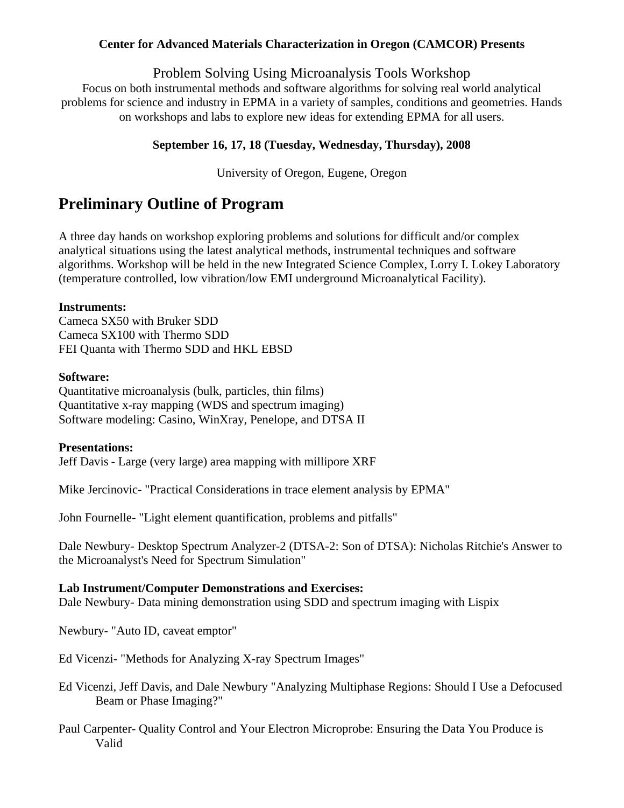#### **Center for Advanced Materials Characterization in Oregon (CAMCOR) Presents**

Problem Solving Using Microanalysis Tools Workshop

Focus on both instrumental methods and software algorithms for solving real world analytical problems for science and industry in EPMA in a variety of samples, conditions and geometries. Hands on workshops and labs to explore new ideas for extending EPMA for all users.

# **September 16, 17, 18 (Tuesday, Wednesday, Thursday), 2008**

University of Oregon, Eugene, Oregon

# **Preliminary Outline of Program**

A three day hands on workshop exploring problems and solutions for difficult and/or complex analytical situations using the latest analytical methods, instrumental techniques and software algorithms. Workshop will be held in the new Integrated Science Complex, Lorry I. Lokey Laboratory (temperature controlled, low vibration/low EMI underground Microanalytical Facility).

## **Instruments:**

Cameca SX50 with Bruker SDD Cameca SX100 with Thermo SDD FEI Quanta with Thermo SDD and HKL EBSD

#### **Software:**

Quantitative microanalysis (bulk, particles, thin films) Quantitative x-ray mapping (WDS and spectrum imaging) Software modeling: Casino, WinXray, Penelope, and DTSA II

## **Presentations:**

Jeff Davis - Large (very large) area mapping with millipore XRF

Mike Jercinovic- "Practical Considerations in trace element analysis by EPMA"

John Fournelle- "Light element quantification, problems and pitfalls"

Dale Newbury- Desktop Spectrum Analyzer-2 (DTSA-2: Son of DTSA): Nicholas Ritchie's Answer to the Microanalyst's Need for Spectrum Simulation"

#### **Lab Instrument/Computer Demonstrations and Exercises:**

Dale Newbury- Data mining demonstration using SDD and spectrum imaging with Lispix

Newbury- "Auto ID, caveat emptor"

Ed Vicenzi- "Methods for Analyzing X-ray Spectrum Images"

Ed Vicenzi, Jeff Davis, and Dale Newbury "Analyzing Multiphase Regions: Should I Use a Defocused Beam or Phase Imaging?"

Paul Carpenter- Quality Control and Your Electron Microprobe: Ensuring the Data You Produce is Valid